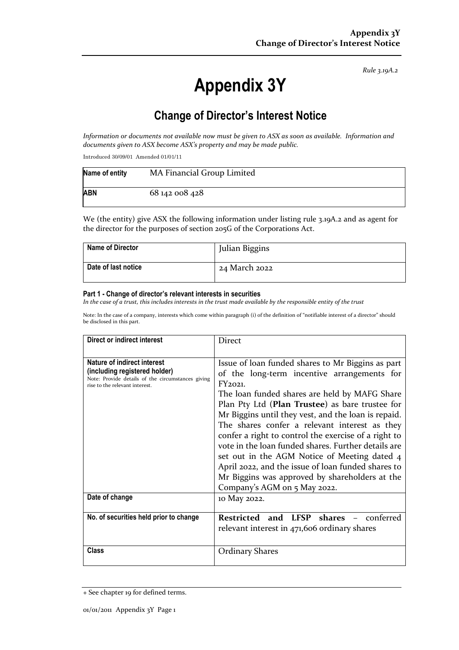*Rule 3.19A.2*

# **Appendix 3Y**

## **Change of Director's Interest Notice**

*Information or documents not available now must be given to ASX as soon as available. Information and documents given to ASX become ASX's property and may be made public.*

Introduced 30/09/01 Amended 01/01/11

| Name of entity | MA Financial Group Limited |
|----------------|----------------------------|
| <b>ABN</b>     | 68 142 008 428             |

We (the entity) give ASX the following information under listing rule 3.19A.2 and as agent for the director for the purposes of section 205G of the Corporations Act.

| <b>Name of Director</b> | Julian Biggins |
|-------------------------|----------------|
| Date of last notice     | 24 March 2022  |

#### **Part 1 - Change of director's relevant interests in securities**

*In the case of a trust, this includes interests in the trust made available by the responsible entity of the trust*

Note: In the case of a company, interests which come within paragraph (i) of the definition of "notifiable interest of a director" should be disclosed in this part.

| Direct or indirect interest                                                                                                                         | <b>Direct</b>                                                                                                                                                                                                                                                                                                                                                                                                                                                                                                                                                                                                                  |
|-----------------------------------------------------------------------------------------------------------------------------------------------------|--------------------------------------------------------------------------------------------------------------------------------------------------------------------------------------------------------------------------------------------------------------------------------------------------------------------------------------------------------------------------------------------------------------------------------------------------------------------------------------------------------------------------------------------------------------------------------------------------------------------------------|
| Nature of indirect interest<br>(including registered holder)<br>Note: Provide details of the circumstances giving<br>rise to the relevant interest. | Issue of loan funded shares to Mr Biggins as part<br>of the long-term incentive arrangements for<br>FY2021.<br>The loan funded shares are held by MAFG Share<br>Plan Pty Ltd (Plan Trustee) as bare trustee for<br>Mr Biggins until they vest, and the loan is repaid.<br>The shares confer a relevant interest as they<br>confer a right to control the exercise of a right to<br>vote in the loan funded shares. Further details are<br>set out in the AGM Notice of Meeting dated 4<br>April 2022, and the issue of loan funded shares to<br>Mr Biggins was approved by shareholders at the<br>Company's AGM on 5 May 2022. |
| Date of change                                                                                                                                      | 10 May 2022.                                                                                                                                                                                                                                                                                                                                                                                                                                                                                                                                                                                                                   |
| No. of securities held prior to change                                                                                                              | Restricted and LFSP shares<br>conferred<br>relevant interest in 471,606 ordinary shares                                                                                                                                                                                                                                                                                                                                                                                                                                                                                                                                        |
| Class                                                                                                                                               | <b>Ordinary Shares</b>                                                                                                                                                                                                                                                                                                                                                                                                                                                                                                                                                                                                         |

<sup>+</sup> See chapter 19 for defined terms.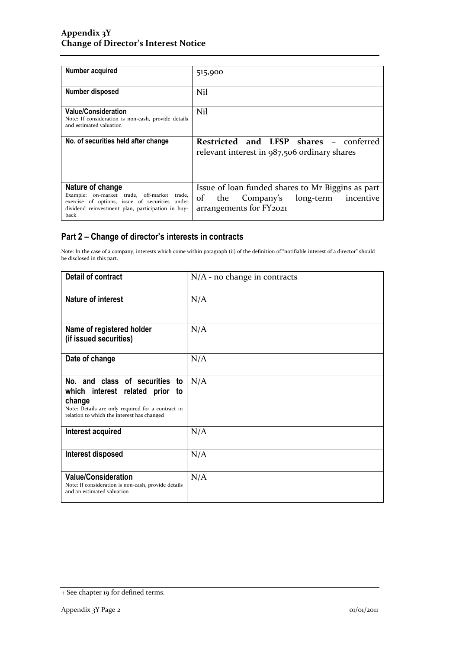| Number acquired                                                                                                                                                                | 515,900                                                                                                                       |
|--------------------------------------------------------------------------------------------------------------------------------------------------------------------------------|-------------------------------------------------------------------------------------------------------------------------------|
| Number disposed                                                                                                                                                                | Nil                                                                                                                           |
| <b>Value/Consideration</b><br>Note: If consideration is non-cash, provide details<br>and estimated valuation                                                                   | Nil                                                                                                                           |
| No. of securities held after change                                                                                                                                            | Restricted and LFSP shares -<br>conferred<br>relevant interest in $987,506$ ordinary shares                                   |
| Nature of change<br>Example: on-market trade, off-market trade,<br>exercise of options, issue of securities under<br>dividend reinvestment plan, participation in buy-<br>back | Issue of loan funded shares to Mr Biggins as part<br>incentive<br>of<br>Company's long-term<br>the<br>arrangements for FY2021 |

### **Part 2 – Change of director's interests in contracts**

Note: In the case of a company, interests which come within paragraph (ii) of the definition of "notifiable interest of a director" should be disclosed in this part.

| <b>Detail of contract</b>                                                                                                                                                            | $N/A$ - no change in contracts |
|--------------------------------------------------------------------------------------------------------------------------------------------------------------------------------------|--------------------------------|
| <b>Nature of interest</b>                                                                                                                                                            | N/A                            |
| Name of registered holder<br>(if issued securities)                                                                                                                                  | N/A                            |
| Date of change                                                                                                                                                                       | N/A                            |
| No. and class of securities<br>to<br>which interest related prior<br>to<br>change<br>Note: Details are only required for a contract in<br>relation to which the interest has changed | N/A                            |
| Interest acquired                                                                                                                                                                    | N/A                            |
| Interest disposed                                                                                                                                                                    | N/A                            |
| <b>Value/Consideration</b><br>Note: If consideration is non-cash, provide details<br>and an estimated valuation                                                                      | N/A                            |

<sup>+</sup> See chapter 19 for defined terms.